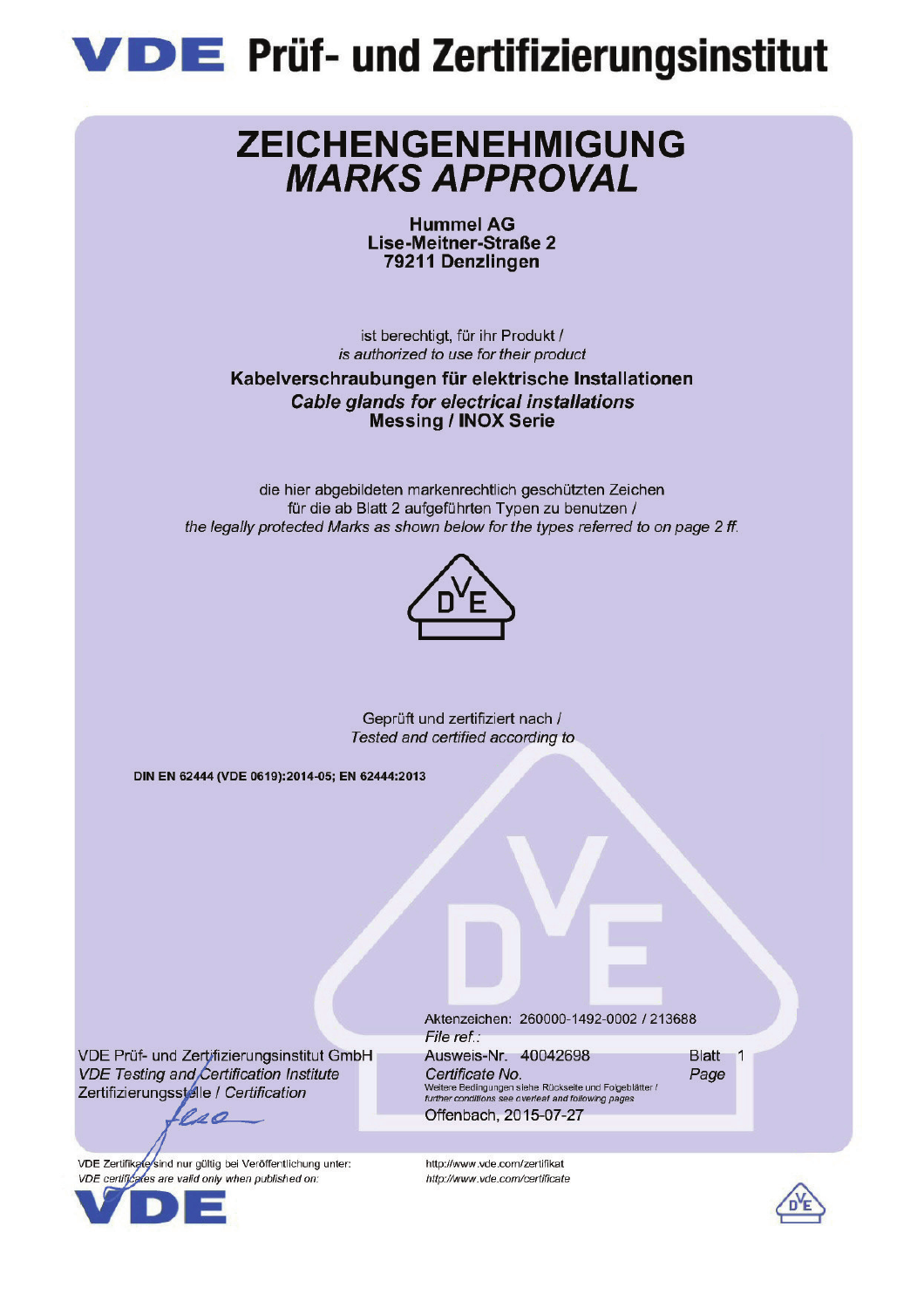

## ZEICHENGENEHMIGUNG **MARKS APPROVAL**

**Hummel AG** Lise-Meitner-Straße 2 79211 Denzlingen

ist berechtigt, für ihr Produkt / is authorized to use for their product

Kabelverschraubungen für elektrische Installationen **Cable glands for electrical installations Messing / INOX Serie** 

die hier abgebildeten markenrechtlich geschützten Zeichen für die ab Blatt 2 aufgeführten Typen zu benutzen / the legally protected Marks as shown below for the types referred to on page 2 ff.



Geprüft und zertifiziert nach / Tested and certified according to

DIN EN 62444 (VDE 0619):2014-05; EN 62444:2013

VDE Prüf- und Zertifizierungsinstitut GmbH **VDE Testing and Certification Institute** Zertifizierungsstelle / Certification

VDE Zertifikate sind nur gültig bei Veröffentlichung unter: VDE certificates are valid only when published on:

110



Aktenzeichen: 260000-1492-0002 / 213688 File ref.: Ausweis-Nr. 40042698

Certificate No. Weitere Bedingungen siehe Rückseite und Folgeblätter /<br>Weitere Bedingungen siehe Rückseite und Folgeblätter /<br>further conditions see overleaf and following pages Offenbach, 2015-07-27

http://www.vde.com/zertifikat

http://www.vde.com/certificate

Blatt 1 Page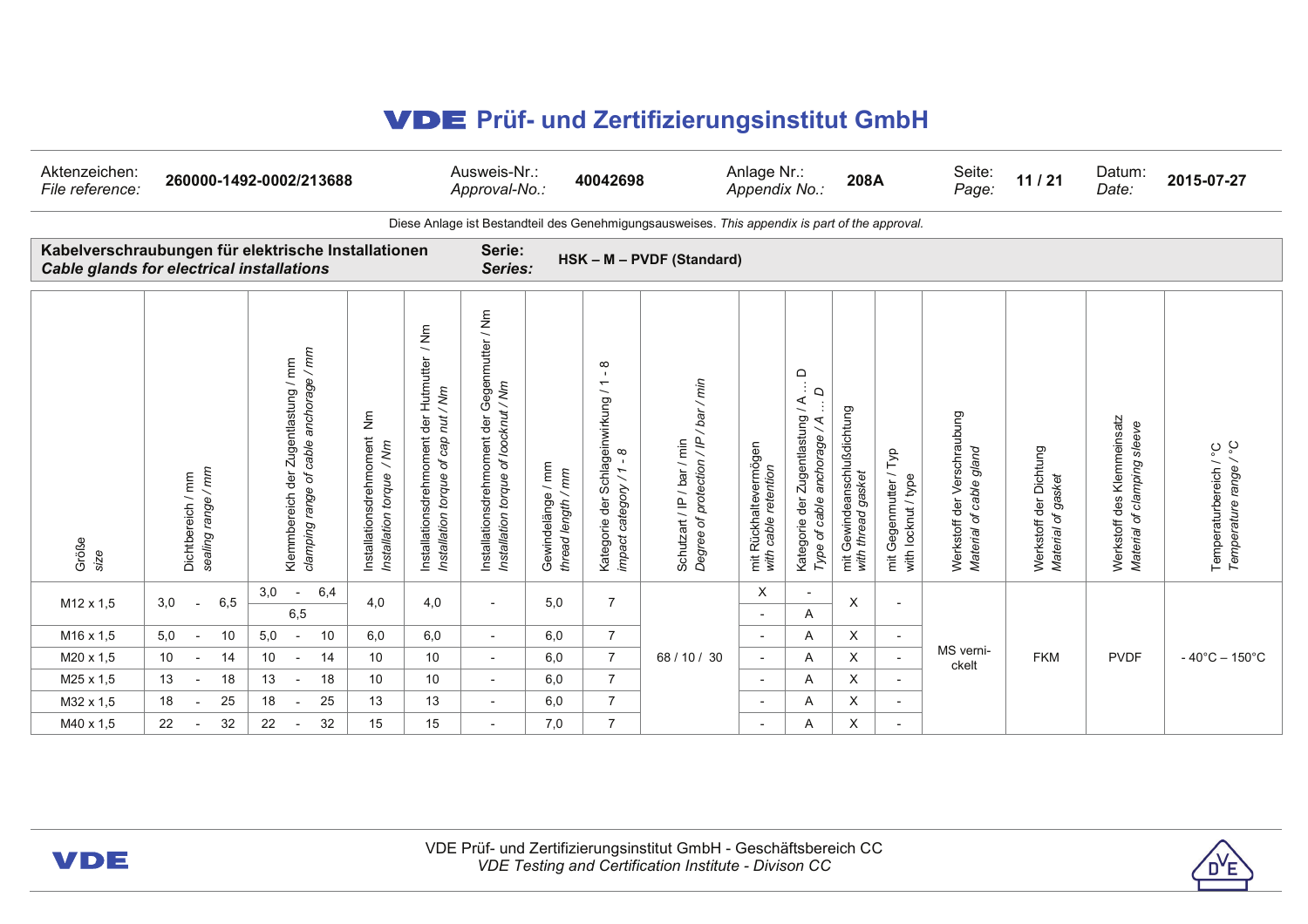## Q **Prüf- und Zertifizierungsinstitut GmbH**

| Aktenzeichen:<br>File reference:                                                                        | 260000-1492-0002/213688                 |                                                                               |                                                                                           |                                                                                                    | Ausweis-Nr.:<br>40042698<br>Approval-No.:                                                                                           |                                            |                                                                                                                                           |                                                                     | Anlage Nr.:<br>208A<br>Appendix No.:          |                                                                                                   | Seite:<br>Page:                                      | 11/21                                           | Datum:<br>Date:                                                     | 2015-07-27                                               |                                                              |                                                      |
|---------------------------------------------------------------------------------------------------------|-----------------------------------------|-------------------------------------------------------------------------------|-------------------------------------------------------------------------------------------|----------------------------------------------------------------------------------------------------|-------------------------------------------------------------------------------------------------------------------------------------|--------------------------------------------|-------------------------------------------------------------------------------------------------------------------------------------------|---------------------------------------------------------------------|-----------------------------------------------|---------------------------------------------------------------------------------------------------|------------------------------------------------------|-------------------------------------------------|---------------------------------------------------------------------|----------------------------------------------------------|--------------------------------------------------------------|------------------------------------------------------|
| Diese Anlage ist Bestandteil des Genehmigungsausweises. This appendix is part of the approval.          |                                         |                                                                               |                                                                                           |                                                                                                    |                                                                                                                                     |                                            |                                                                                                                                           |                                                                     |                                               |                                                                                                   |                                                      |                                                 |                                                                     |                                                          |                                                              |                                                      |
| Kabelverschraubungen für elektrische Installationen<br><b>Cable glands for electrical installations</b> |                                         |                                                                               |                                                                                           | Serie:<br>HSK - M - PVDF (Standard)<br>Series:                                                     |                                                                                                                                     |                                            |                                                                                                                                           |                                                                     |                                               |                                                                                                   |                                                      |                                                 |                                                                     |                                                          |                                                              |                                                      |
| Größe<br>size                                                                                           | sealing range / mm<br>Dichtbereich / mm | clamping range of cable anchorage / mm<br>Klemmbereich der Zugentlastung / mm | $\bar{\bar{z}}$<br>Installationsdrehmoment<br>$\frac{m}{\sqrt{2}}$<br>Installation torque | / Nm<br>Installationsdrehmoment der Hutmutter<br>nut / Nm<br>Installation torque of cap            | $\bar{\Xi}$<br>$\overline{\phantom{0}}$<br>Gegenmutter<br>of loocknut / Nm<br>der<br>Installationsdrehmoment<br>Installation torque | / mm<br>thread length / mm<br>Gewindelänge | $\infty$<br>$\overline{\phantom{0}}$<br>der Schlageinwirkung<br>$\infty$<br>$\overline{\phantom{0}}$<br>category /<br>Kategorie<br>impact | /bar/min<br>Schutzart / IP / bar / min<br>Degree of protection / IP | mit Rückhaltevermögen<br>with cable retention | $\Omega$<br>d<br>$\mathbf Q$<br>Kategorie der Zugentlastung / A<br>anchorage / A<br>Type of cable | mit Gewindeanschlußdichtung<br>gasket<br>with thread | Тур<br>mit Gegenmutter /<br>with locknut / type | der Verschraubung<br>of cable gland<br>Werkstoff<br><b>Material</b> | Werkstoff der Dichtung<br>gasket<br>ď<br><b>Material</b> | des Klemmeinsatz<br>Material of clamping sleeve<br>Werkstoff | ပ္စ<br>Temperaturbereich / °C<br>Temperature range / |
| M <sub>12</sub> x 1.5                                                                                   | 3,0<br>6,5                              | 6,4<br>3,0<br>$\overline{\phantom{a}}$<br>6,5                                 | 4,0                                                                                       | 4,0                                                                                                | $\overline{\phantom{a}}$                                                                                                            | 5,0                                        | $\overline{7}$                                                                                                                            |                                                                     | X<br>$\overline{\phantom{0}}$                 | $\overline{a}$<br>Α                                                                               | X                                                    |                                                 |                                                                     |                                                          |                                                              |                                                      |
| M <sub>16</sub> x 1,5                                                                                   | 5,0<br>10                               | 5,0<br>10<br>$\overline{\phantom{a}}$                                         | 6,0                                                                                       | 6,0                                                                                                | $\overline{\phantom{a}}$                                                                                                            | 6,0                                        | $\overline{7}$                                                                                                                            |                                                                     | $\overline{\phantom{a}}$                      | Α                                                                                                 | Χ                                                    | $\sim$                                          |                                                                     |                                                          |                                                              |                                                      |
| M20 x 1,5                                                                                               | 10<br>14                                | 10<br>14                                                                      | 10                                                                                        | 10<br>$\overline{\phantom{a}}$<br>10<br>$\overline{\phantom{a}}$<br>13<br>$\overline{\phantom{a}}$ |                                                                                                                                     | 6,0                                        | $\overline{7}$                                                                                                                            | 68 / 10 / 30                                                        | $\overline{\phantom{a}}$                      | Α                                                                                                 | X                                                    | $\overline{\phantom{a}}$                        | MS verni-<br>ckelt                                                  | <b>FKM</b>                                               | <b>PVDF</b>                                                  | $-40^{\circ}$ C $-150^{\circ}$ C                     |
| M25 x 1.5                                                                                               | 13<br>18                                | 13<br>18<br>$\overline{\phantom{a}}$                                          | 10                                                                                        |                                                                                                    | 6,0                                                                                                                                 | $\overline{7}$                             |                                                                                                                                           | $\overline{\phantom{a}}$                                            | A                                             | X                                                                                                 | $\overline{\phantom{0}}$                             |                                                 |                                                                     |                                                          |                                                              |                                                      |
| M32 x 1,5                                                                                               | 18<br>25                                | 25<br>18                                                                      | 13                                                                                        |                                                                                                    | 6,0                                                                                                                                 | $\overline{7}$                             |                                                                                                                                           | $\overline{\phantom{a}}$                                            | Α                                             | Χ                                                                                                 | $\overline{\phantom{a}}$                             |                                                 |                                                                     |                                                          |                                                              |                                                      |
| M40 x 1,5                                                                                               | 32<br>22                                | 32<br>22                                                                      | 15                                                                                        | 15                                                                                                 |                                                                                                                                     | 7,0                                        | $\overline{7}$                                                                                                                            |                                                                     | $\overline{\phantom{a}}$                      | Α                                                                                                 | X                                                    |                                                 |                                                                     |                                                          |                                                              |                                                      |